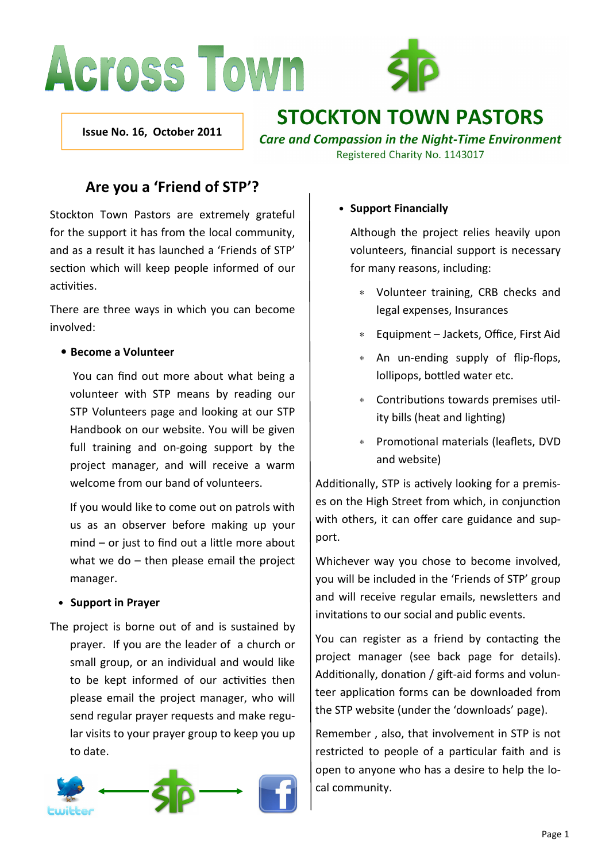# **Across Town**



Issue No. 16, October 2011

# **STOCKTON TOWN PASTORS**

**Care and Compassion in the Night-Time Environment** Registered Charity No. 1143017

# Are you a 'Friend of STP'?

Stockton Town Pastors are extremely grateful for the support it has from the local community, and as a result it has launched a 'Friends of STP' section which will keep people informed of our activities.

There are three ways in which you can become involved:

#### • Become a Volunteer

 You can find out more about what being a volunteer with STP means by reading our STP Volunteers page and looking at our STP Handbook on our website. You will be given full training and on-going support by the project manager, and will receive a warm welcome from our band of volunteers.

If you would like to come out on patrols with us as an observer before making up your  $mind - or just to find out a little more about$ what we do – then please email the project manager.

#### • Support in Prayer

The project is borne out of and is sustained by prayer. If you are the leader of a church or small group, or an individual and would like to be kept informed of our activities then please email the project manager, who will send regular prayer requests and make regular visits to your prayer group to keep you up to date.



#### • Support Financially

Although the project relies heavily upon volunteers, financial support is necessary for many reasons, including:

- ∗ Volunteer training, CRB checks and legal expenses, Insurances
- ∗ Equipment Jackets, Office, First Aid
- ∗ An un-ending supply of flip-flops, lollipops, bottled water etc.
- ∗ Contributions towards premises utility bills (heat and lighting)
- ∗ Promoonal materials (leaflets, DVD and website)

Additionally, STP is actively looking for a premises on the High Street from which, in conjunction with others, it can offer care guidance and support.

Whichever way you chose to become involved, you will be included in the 'Friends of STP' group and will receive regular emails, newsletters and invitations to our social and public events.

You can register as a friend by contacting the project manager (see back page for details). Additionally, donation / gift-aid forms and volunteer application forms can be downloaded from the STP website (under the 'downloads' page).

Remember , also, that involvement in STP is not restricted to people of a particular faith and is open to anyone who has a desire to help the local community.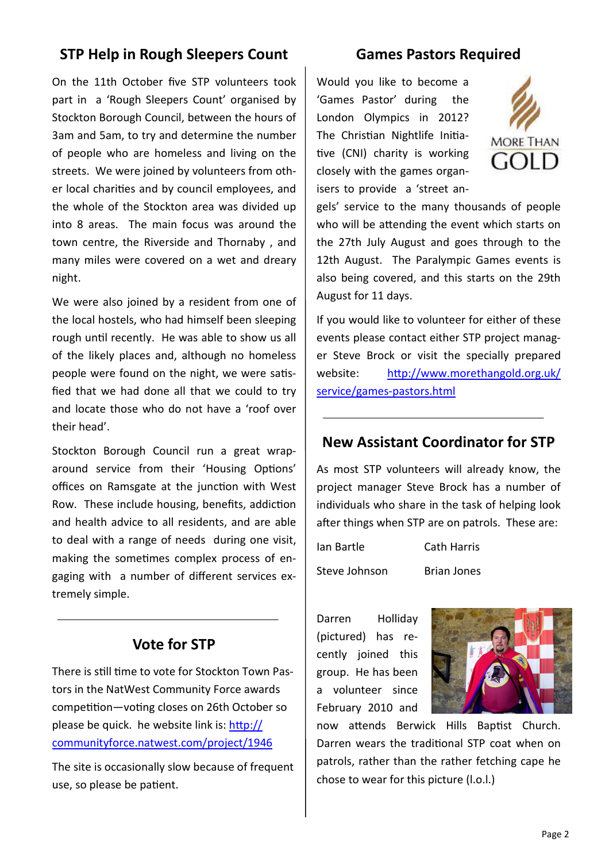# STP Help in Rough Sleepers Count

On the 11th October five STP volunteers took part in a 'Rough Sleepers Count' organised by Stockton Borough Council, between the hours of 3am and 5am, to try and determine the number of people who are homeless and living on the streets. We were joined by volunteers from other local charities and by council employees, and the whole of the Stockton area was divided up into 8 areas. The main focus was around the town centre, the Riverside and Thornaby , and many miles were covered on a wet and dreary night.

We were also joined by a resident from one of the local hostels, who had himself been sleeping rough until recently. He was able to show us all of the likely places and, although no homeless people were found on the night, we were satisfied that we had done all that we could to try and locate those who do not have a 'roof over their head'.

Stockton Borough Council run a great wraparound service from their 'Housing Options' offices on Ramsgate at the junction with West Row. These include housing, benefits, addiction and health advice to all residents, and are able to deal with a range of needs during one visit, making the sometimes complex process of engaging with a number of different services extremely simple.

#### Vote for STP

There is still time to vote for Stockton Town Pastors in the NatWest Community Force awards competition—voting closes on 26th October so please be quick. he website link is:  $http://$ communityforce.natwest.com/project/1946

The site is occasionally slow because of frequent use, so please be patient.

# Games Pastors Required

Would you like to become a 'Games Pastor' during the London Olympics in 2012? The Christian Nightlife Initiative (CNI) charity is working closely with the games organisers to provide a 'street an-



gels' service to the many thousands of people who will be attending the event which starts on the 27th July August and goes through to the 12th August. The Paralympic Games events is also being covered, and this starts on the 29th August for 11 days.

If you would like to volunteer for either of these events please contact either STP project manager Steve Brock or visit the specially prepared website: http://www.morethangold.org.uk/ service/games-pastors.html

# New Assistant Coordinator for STP

As most STP volunteers will already know, the project manager Steve Brock has a number of individuals who share in the task of helping look after things when STP are on patrols. These are:

Ian Bartle Cath Harris Steve Johnson Brian Jones

Darren Holliday (pictured) has recently joined this group. He has been a volunteer since February 2010 and



now attends Berwick Hills Baptist Church. Darren wears the traditional STP coat when on patrols, rather than the rather fetching cape he chose to wear for this picture (l.o.l.)